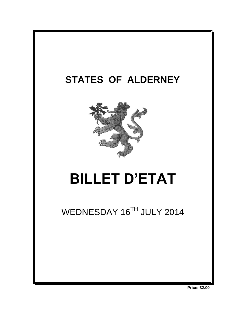

**Price: £2.00**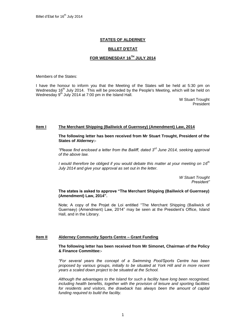# **STATES OF ALDERNEY**

## **BILLET D'ETAT**

# **FOR WEDNESDAY 16 TH JULY 2014**

Members of the States:

I have the honour to inform you that the Meeting of the States will be held at 5:30 pm on Wednesday 16<sup>th</sup> July 2014. This will be preceded by the People's Meeting, which will be held on Wednesday 9<sup>th</sup> July 2014 at 7:00 pm in the Island Hall.

> W Stuart Trought President

#### **Item I The Merchant Shipping (Bailiwick of Guernsey) (Amendment) Law, 2014**

**The following letter has been received from Mr Stuart Trought, President of the States of Alderney:-**

*"Please find enclosed a letter from the Bailiff, dated 3<sup>rd</sup> June 2014, seeking approval of the above law.* 

*I* would therefore be obliged if you would debate this matter at your meeting on 16<sup>th</sup> *July 2014 and give your approval as set out in the letter.* 

> *W Stuart Trought President"*

### **The states is asked to approve "The Merchant Shipping (Bailiwick of Guernsey) (Amendment) Law, 2014".**

Note; A copy of the Projet de Loi entitled "The Merchant Shipping (Bailiwick of Guernsey) (Amendment) Law, 2014" may be seen at the President's Office, Island Hall, and in the Library.

### **Item II Alderney Community Sports Centre – Grant Funding**

### **The following letter has been received from Mr Simonet, Chairman of the Policy & Finance Committee:-**

*"For several years the concept of a Swimming Pool/Sports Centre has been proposed by various groups, initially to be situated at York Hill and in more recent years a scaled down project to be situated at the School.* 

*Although the advantages to the Island for such a facility have long been recognised, including health benefits, together with the provision of leisure and sporting facilities*  for residents and visitors, the drawback has always been the amount of capital *funding required to build the facility.*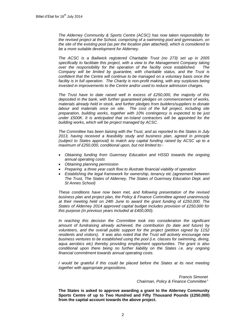*The Alderney Community & Sports Centre (ACSC) has now taken responsibility for the revised project at the School, comprising of a swimming pool and gymnasium, on the site of the existing pool (as per the location plan attached), which is considered to be a more suitable development for Alderney.*

*The ACSC is a Bailiwick registered Charitable Trust (no 273) set up in 2005 specifically to facilitate this project, with a view to the Management Company taking over the responsibility for the operation of the facility once established. The Company will be limited by guarantee, with charitable status, and the Trust is confident that the Centre will continue to be managed on a voluntary basis once the facility is in full operation. The Charity is non-profit making, with any surpluses being invested in improvements to the Centre and/or used to reduce admission charges.* 

*The Trust have to date raised well in excess of £250,000, the majority of this deposited in the bank, with further guaranteed pledges on commencement of works, materials already held in stock, and further pledges from builders/suppliers to donate labour and materials once on site. The cost of the full project, including site preparation, building works, together with 10% contingency is expected to be just under £500K. It is anticipated that on-Island contractors will be appointed for the building works, which will be project managed by ACSC.*

*The Committee has been liaising with the Trust, and as reported to the States in July 2013, having received a feasibility study and business plan, agreed in principle (subject to States approval) to match any capital funding raised by ACSC up to a maximum of £250,000, conditional upon, but not limited to:-*

- *Obtaining funding from Guernsey Education and HSSD towards the ongoing annual operating costs*
- *Obtaining planning permission*
- *Preparing a three year cash flow to illustrate financial viability of operation*
- *Establishing the legal framework for ownership, tenancy etc (agreement between The Trust, The States of Alderney, The States of Guernsey Education Dept, and St Annes School)*

*These conditions have now been met, and following presentation of the revised business plan and project plan, the Policy & Finance Committee agreed unanimously at their meeting held on 24th June to award the grant funding of £250,000. The States of Alderney 2014 approved capital budget includes provision of £250,000 for this purpose (in previous years included at £400,000).* 

In reaching this decision the Committee took into consideration the significant *amount of fundraising already achieved, the contribution (to date and future) by volunteers, and the overall public support for the project (petition signed by 1152 residents and visitors). It was also noted that the Trust will actively encourage new business ventures to be established using the pool (i.e. classes for swimming, diving, aqua aerobics etc) thereby providing employment opportunities. The grant is also conditional upon there being no further liability on the States i.e. any ongoing financial commitment towards annual operating costs.* 

*I* would be grateful if this could be placed before the States at its next meeting *together with appropriate propositions.*

> *Francis Simonet Chairman, Policy & Finance Committee"*

**The States is asked to approve awarding a grant to the Alderney Community Sports Centre of up to Two Hundred and Fifty Thousand Pounds (£250,000) from the capital account towards the above project.**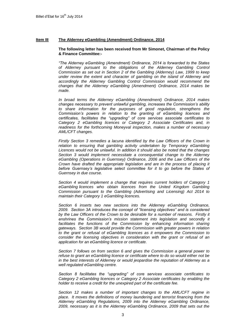## **Item III The Alderney eGambling (Amendment) Ordinance, 2014**

#### **The following letter has been received from Mr Simonet, Chairman of the Policy & Finance Committee:-**

*"The Alderney eGambling (Amendment) Ordinance, 2014 is forwarded to the States of Alderney pursuant to the obligations of the Alderney Gambling Control Commission as set out in Section 2 of the Gambling (Alderney) Law, 1999 to keep under review the extent and character of gambling on the island of Alderney and accordingly the Alderney Gambling Control Commission would recommend the changes that the Alderney eGambling (Amendment) Ordinance, 2014 makes be made.*

*In broad terms the Alderney eGambling (Amendment) Ordinance, 2014 makes changes necessary to prevent unlawful gambling, increases the Commission's ability to share information for the purposes of good regulation, strengthens the Commission's powers in relation to the granting of eGambling licences and certificates, facilitates the "upgrading" of core services associate certificates to Category 2 eGambling licences or Category 2 Associate Certificates and, in readiness for the forthcoming Moneyval inspection, makes a number of necessary AML/CFT changes.*

*Firstly Section 3 remedies a lacuna identified by the Law Officers of the Crown in*  relation to ensuring that gambling activity undertaken by Temporary eGambling *Licences would not be unlawful. In addition it should also be noted that the changes Section 3 would implement necessitate a consequential change to the Alderney eGambling (Operations in Guernsey) Ordinance, 2006 and the Law Officers of the Crown have drafted the appropriate legislation and are in the process of placing it before Guernsey's legislative select committee for it to go before the States of Guernsey in due course.*

*Section 4 would implement a change that requires current holders of Category 1 eGambling licences who obtain licences from the United Kingdom Gambling Commission pursuant to the Gambling (Advertising and Licensing) Act 2014 to maintain their Category 1 eGambling licences.*

*Section 6 inserts two new sections into the Alderney eGambling Ordinance, 2009. Section 3A introduces the concept of "licensing objectives" and is considered by the Law Officers of the Crown to be desirable for a number of reasons. Firstly it enshrines the Commission's mission statement into legislation and secondly it*  facilitates the functions of the Commission by enhancing information sharing *gateways. Section 3B would provide the Commission with greater powers in relation*  to the grant or refusal of eGambling licences as it empowers the Commission to *consider the licensing objectives in consideration with the grant or refusal of an application for an eGambling licence or certificate.*

*Section 7 follows on from section 6 and gives the Commission a general power to refuse to grant an eGambling licence or certificate where to do so would either not be in the best interests of Alderney or would jeopardise the reputation of Alderney as a well regulated eGambling centre.*

*Section 8 facilitates the "upgrading" of core services associate certificates to Category 2 eGambling licences or Category 2 Associate certificates by enabling the holder to receive a credit for the unexpired part of the certificate fee.*

*Section 12 makes a number of important changes to the AML/CFT regime in place. It moves the definitions of money laundering and terrorist financing from the Alderney eGambling Regulations, 2009 into the Alderney eGambling Ordinance, 2009, necessary as it is the Alderney eGambling Ordinance, 2009 that sets out the*